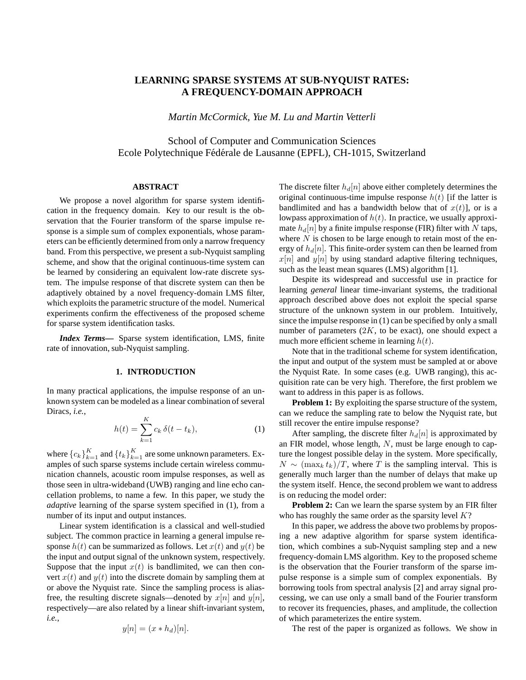# **LEARNING SPARSE SYSTEMS AT SUB-NYQUIST RATES: A FREQUENCY-DOMAIN APPROACH**

*Martin McCormick, Yue M. Lu and Martin Vetterli*

School of Computer and Communication Sciences Ecole Polytechnique Fédérale de Lausanne (EPFL), CH-1015, Switzerland

### **ABSTRACT**

We propose a novel algorithm for sparse system identification in the frequency domain. Key to our result is the observation that the Fourier transform of the sparse impulse response is a simple sum of complex exponentials, whose parameters can be efficiently determined from only a narrow frequency band. From this perspective, we present a sub-Nyquist sampling scheme, and show that the original continuous-time system can be learned by considering an equivalent low-rate discrete system. The impulse response of that discrete system can then be adaptively obtained by a novel frequency-domain LMS filter, which exploits the parametric structure of the model. Numerical experiments confirm the effectiveness of the proposed scheme for sparse system identification tasks.

*Index Terms***—** Sparse system identification, LMS, finite rate of innovation, sub-Nyquist sampling.

#### **1. INTRODUCTION**

In many practical applications, the impulse response of an unknown system can be modeled as a linear combination of several Diracs, *i.e.*,

$$
h(t) = \sum_{k=1}^{K} c_k \, \delta(t - t_k),
$$
 (1)

where  ${c_k}_{k=1}^K$  and  ${t_k}_{k=1}^K$  are some unknown parameters. Examples of such sparse systems include certain wireless communication channels, acoustic room impulse responses, as well as those seen in ultra-wideband (UWB) ranging and line echo cancellation problems, to name a few. In this paper, we study the *adaptive* learning of the sparse system specified in (1), from a number of its input and output instances.

Linear system identification is a classical and well-studied subject. The common practice in learning a general impulse response  $h(t)$  can be summarized as follows. Let  $x(t)$  and  $y(t)$  be the input and output signal of the unknown system, respectively. Suppose that the input  $x(t)$  is bandlimited, we can then convert  $x(t)$  and  $y(t)$  into the discrete domain by sampling them at or above the Nyquist rate. Since the sampling process is aliasfree, the resulting discrete signals—denoted by  $x[n]$  and  $y[n]$ , respectively—are also related by a linear shift-invariant system, *i.e.*,

$$
y[n] = (x * h_d)[n].
$$

The discrete filter  $h_d[n]$  above either completely determines the original continuous-time impulse response  $h(t)$  [if the latter is bandlimited and has a bandwidth below that of  $x(t)$ ], or is a lowpass approximation of  $h(t)$ . In practice, we usually approximate  $h_d[n]$  by a finite impulse response (FIR) filter with N taps, where  $N$  is chosen to be large enough to retain most of the energy of  $h_d[n]$ . This finite-order system can then be learned from  $x[n]$  and  $y[n]$  by using standard adaptive filtering techniques, such as the least mean squares (LMS) algorithm [1].

Despite its widespread and successful use in practice for learning *general* linear time-invariant systems, the traditional approach described above does not exploit the special sparse structure of the unknown system in our problem. Intuitively, since the impulse response in (1) can be specified by only a small number of parameters  $(2K, t_0)$  be exact), one should expect a much more efficient scheme in learning  $h(t)$ .

Note that in the traditional scheme for system identification, the input and output of the system must be sampled at or above the Nyquist Rate. In some cases (e.g. UWB ranging), this acquisition rate can be very high. Therefore, the first problem we want to address in this paper is as follows.

**Problem 1:** By exploiting the sparse structure of the system, can we reduce the sampling rate to below the Nyquist rate, but still recover the entire impulse response?

After sampling, the discrete filter  $h_d[n]$  is approximated by an FIR model, whose length,  $N$ , must be large enough to capture the longest possible delay in the system. More specifically,  $N \sim (\max_k t_k)/T$ , where T is the sampling interval. This is generally much larger than the number of delays that make up the system itself. Hence, the second problem we want to address is on reducing the model order:

**Problem 2:** Can we learn the sparse system by an FIR filter who has roughly the same order as the sparsity level  $K$ ?

In this paper, we address the above two problems by proposing a new adaptive algorithm for sparse system identification, which combines a sub-Nyquist sampling step and a new frequency-domain LMS algorithm. Key to the proposed scheme is the observation that the Fourier transform of the sparse impulse response is a simple sum of complex exponentials. By borrowing tools from spectral analysis [2] and array signal processing, we can use only a small band of the Fourier transform to recover its frequencies, phases, and amplitude, the collection of which parameterizes the entire system.

The rest of the paper is organized as follows. We show in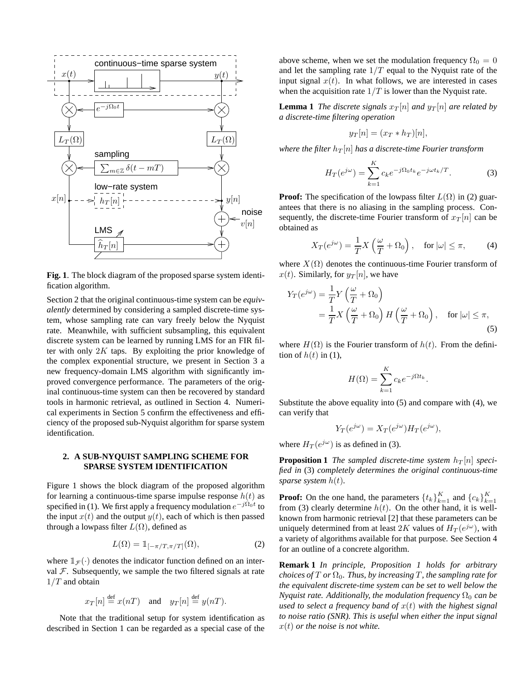

**Fig. 1**. The block diagram of the proposed sparse system identification algorithm.

Section 2 that the original continuous-time system can be *equivalently* determined by considering a sampled discrete-time system, whose sampling rate can vary freely below the Nyquist rate. Meanwhile, with sufficient subsampling, this equivalent discrete system can be learned by running LMS for an FIR filter with only  $2K$  taps. By exploiting the prior knowledge of the complex exponential structure, we present in Section 3 a new frequency-domain LMS algorithm with significantly improved convergence performance. The parameters of the original continuous-time system can then be recovered by standard tools in harmonic retrieval, as outlined in Section 4. Numerical experiments in Section 5 confirm the effectiveness and efficiency of the proposed sub-Nyquist algorithm for sparse system identification.

## **2. A SUB-NYQUIST SAMPLING SCHEME FOR SPARSE SYSTEM IDENTIFICATION**

Figure 1 shows the block diagram of the proposed algorithm for learning a continuous-time sparse impulse response  $h(t)$  as specified in (1). We first apply a frequency modulation  $e^{-j\Omega_0 t}$  to the input  $x(t)$  and the output  $y(t)$ , each of which is then passed through a lowpass filter  $L(\Omega)$ , defined as

$$
L(\Omega) = 1_{[-\pi/T, \pi/T]}(\Omega),\tag{2}
$$

where  $\mathbb{1}_{\mathcal{F}}(\cdot)$  denotes the indicator function defined on an interval  $F$ . Subsequently, we sample the two filtered signals at rate  $1/T$  and obtain

$$
x_T[n] \stackrel{\text{def}}{=} x(nT)
$$
 and  $y_T[n] \stackrel{\text{def}}{=} y(nT)$ .

Note that the traditional setup for system identification as described in Section 1 can be regarded as a special case of the

above scheme, when we set the modulation frequency  $\Omega_0 = 0$ and let the sampling rate  $1/T$  equal to the Nyquist rate of the input signal  $x(t)$ . In what follows, we are interested in cases when the acquisition rate  $1/T$  is lower than the Nyquist rate.

**Lemma 1** *The discrete signals*  $x_T[n]$  *and*  $y_T[n]$  *are related by a discrete-time filtering operation*

$$
y_T[n] = (x_T * h_T)[n],
$$

*where the filter*  $h_T[n]$  *has a discrete-time Fourier transform* 

$$
H_T(e^{j\omega}) = \sum_{k=1}^{K} c_k e^{-j\Omega_0 t_k} e^{-j\omega t_k/T}.
$$
 (3)

**Proof:** The specification of the lowpass filter  $L(\Omega)$  in (2) guarantees that there is no aliasing in the sampling process. Consequently, the discrete-time Fourier transform of  $x_T[n]$  can be obtained as

$$
X_T(e^{j\omega}) = \frac{1}{T}X\left(\frac{\omega}{T} + \Omega_0\right), \quad \text{for } |\omega| \le \pi,
$$
 (4)

where  $X(\Omega)$  denotes the continuous-time Fourier transform of  $x(t)$ . Similarly, for  $y_T[n]$ , we have

$$
Y_T(e^{j\omega}) = \frac{1}{T} Y\left(\frac{\omega}{T} + \Omega_0\right)
$$
  
=  $\frac{1}{T} X\left(\frac{\omega}{T} + \Omega_0\right) H\left(\frac{\omega}{T} + \Omega_0\right)$ , for  $|\omega| \le \pi$ , (5)

where  $H(\Omega)$  is the Fourier transform of  $h(t)$ . From the definition of  $h(t)$  in (1),

$$
H(\Omega) = \sum_{k=1}^{K} c_k e^{-j\Omega t_k}.
$$

Substitute the above equality into (5) and compare with (4), we can verify that

$$
Y_T(e^{j\omega}) = X_T(e^{j\omega})H_T(e^{j\omega}),
$$

where  $H_T(e^{j\omega})$  is as defined in (3).

**Proposition 1** *The sampled discrete-time system*  $h_T[n]$  *specified in* (3) *completely determines the original continuous-time sparse system* h(t)*.*

**Proof:** On the one hand, the parameters  $\{t_k\}_{k=1}^K$  and  $\{c_k\}_{k=1}^K$ from (3) clearly determine  $h(t)$ . On the other hand, it is wellknown from harmonic retrieval [2] that these parameters can be uniquely determined from at least 2K values of  $H_T(e^{j\omega})$ , with a variety of algorithms available for that purpose. See Section 4 for an outline of a concrete algorithm.

**Remark 1** *In principle, Proposition 1 holds for arbitrary choices of*  $T$  *or*  $\Omega_0$ *. Thus, by increasing*  $T$ *, the sampling rate for the equivalent discrete-time system can be set to well below the Nyquist rate. Additionally, the modulation frequency*  $\Omega_0$  *can be used to select a frequency band of* x(t) *with the highest signal to noise ratio (SNR). This is useful when either the input signal* x(t) *or the noise is not white.*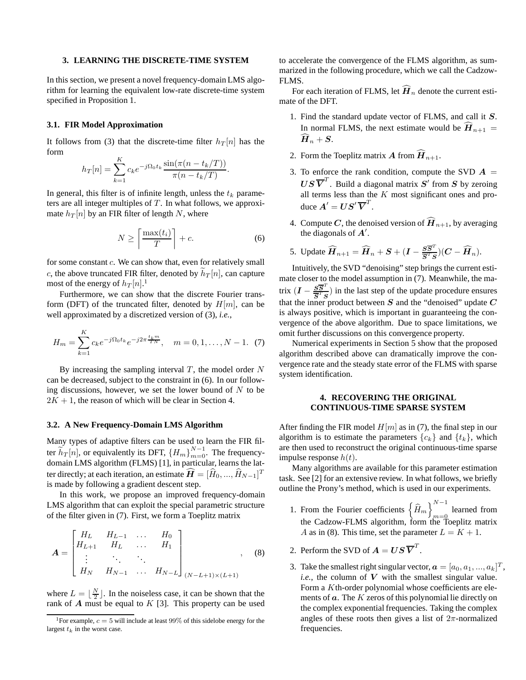#### **3. LEARNING THE DISCRETE-TIME SYSTEM**

In this section, we present a novel frequency-domain LMS algorithm for learning the equivalent low-rate discrete-time system specified in Proposition 1.

#### **3.1. FIR Model Approximation**

It follows from (3) that the discrete-time filter  $h_T[n]$  has the form

$$
h_T[n] = \sum_{k=1}^{K} c_k e^{-j\Omega_0 t_k} \frac{\sin(\pi(n - t_k/T))}{\pi(n - t_k/T)}.
$$

In general, this filter is of infinite length, unless the  $t_k$  parameters are all integer multiples of  $T$ . In what follows, we approximate  $h_T[n]$  by an FIR filter of length N, where

$$
N \ge \left\lceil \frac{\max(t_i)}{T} \right\rceil + c. \tag{6}
$$

for some constant  $c$ . We can show that, even for relatively small c, the above truncated FIR filter, denoted by  $\hat{h}_T[n]$ , can capture most of the energy of  $h_T[n].^1$ 

Furthermore, we can show that the discrete Fourier transform (DFT) of the truncated filter, denoted by  $H[m]$ , can be well approximated by a discretized version of (3), *i.e.*,

$$
H_m = \sum_{k=1}^{K} c_k e^{-j\Omega_0 t_k} e^{-j2\pi \frac{t_k m}{TN}}, \quad m = 0, 1, \dots, N - 1.
$$
 (7)

By increasing the sampling interval  $T$ , the model order  $N$ can be decreased, subject to the constraint in (6). In our following discussions, however, we set the lower bound of  $N$  to be  $2K + 1$ , the reason of which will be clear in Section 4.

#### **3.2. A New Frequency-Domain LMS Algorithm**

Many types of adaptive filters can be used to learn the FIR filter  $\widetilde{h}_T[n]$ , or equivalently its DFT,  ${H_m}_{m=0}^{N-1}$ . The frequencydomain LMS algorithm (FLMS) [1], in particular, learns the latter directly; at each iteration, an estimate  $\widehat{\boldsymbol{H}} = [\widehat{H}_0,...,\widehat{H}_{N-1}]^T$ is made by following a gradient descent step.

In this work, we propose an improved frequency-domain LMS algorithm that can exploit the special parametric structure of the filter given in (7). First, we form a Toeplitz matrix

$$
\mathbf{A} = \begin{bmatrix} H_L & H_{L-1} & \dots & H_0 \\ H_{L+1} & H_L & \dots & H_1 \\ \vdots & \ddots & \ddots & \vdots \\ H_N & H_{N-1} & \dots & H_{N-L} \end{bmatrix}_{(N-L+1)\times(L+1)}, \quad (8)
$$

where  $L = \lfloor \frac{N}{2} \rfloor$ . In the noiseless case, it can be shown that the rank of  $A$  must be equal to  $K$  [3]. This property can be used to accelerate the convergence of the FLMS algorithm, as summarized in the following procedure, which we call the Cadzow-FLMS.

For each iteration of FLMS, let  $\widehat{H}_n$  denote the current estimate of the DFT.

- 1. Find the standard update vector of FLMS, and call it S. In normal FLMS, the next estimate would be  $\mathbf{H}_{n+1} =$  $\widetilde{H}_{n} + S.$
- 2. Form the Toeplitz matrix A from  $\widehat{H}_{n+1}$ .
- 3. To enforce the rank condition, compute the SVD  $A =$  $US\overline{V}^T$ . Build a diagonal matrix  $S'$  from  $S$  by zeroing all terms less than the  $K$  most significant ones and produce  $A' = US' \overline{V}^T$ .
- 4. Compute C, the denoised version of  $\widehat{H}_{n+1}$ , by averaging the diagonals of  $A'$ .

5. Update 
$$
\widehat{H}_{n+1} = \widehat{H}_n + S + (I - \frac{S\overline{S}^T}{\overline{S}^T S})(C - \widehat{H}_n)
$$
.

Intuitively, the SVD "denoising" step brings the current estimate closer to the model assumption in (7). Meanwhile, the matrix  $(I - \frac{S\overline{S}^T}{\overline{S}^T G})$  $\frac{SS}{S^{T}S}$ ) in the last step of the update procedure ensures that the inner product between S and the "denoised" update  $C$ is always positive, which is important in guaranteeing the convergence of the above algorithm. Due to space limitations, we omit further discussions on this convergence property.

Numerical experiments in Section 5 show that the proposed algorithm described above can dramatically improve the convergence rate and the steady state error of the FLMS with sparse system identification.

## **4. RECOVERING THE ORIGINAL CONTINUOUS-TIME SPARSE SYSTEM**

After finding the FIR model  $H[m]$  as in (7), the final step in our algorithm is to estimate the parameters  ${c_k}$  and  ${t_k}$ , which are then used to reconstruct the original continuous-time sparse impulse response  $h(t)$ .

Many algorithms are available for this parameter estimation task. See [2] for an extensive review. In what follows, we briefly outline the Prony's method, which is used in our experiments.

- 1. From the Fourier coefficients  $\left\{\widehat{H}_m\right\}_{m=0}^{N-1}$  $m=0$  learned from the Cadzow-FLMS algorithm, form the Toeplitz matrix A as in (8). This time, set the parameter  $L = K + 1$ .
- 2. Perform the SVD of  $\boldsymbol{A} = \boldsymbol{U}\boldsymbol{S}\,\overline{\boldsymbol{V}}^T$ .
- 3. Take the smallest right singular vector,  $\boldsymbol{a} = [a_0, a_1, ..., a_k]^T$ , *i.e.*, the column of  $V$  with the smallest singular value. Form a Kth-order polynomial whose coefficients are elements of  $\boldsymbol{a}$ . The K zeros of this polynomial lie directly on the complex exponential frequencies. Taking the complex angles of these roots then gives a list of  $2\pi$ -normalized frequencies.

<sup>&</sup>lt;sup>1</sup>For example,  $c = 5$  will include at least 99% of this sidelobe energy for the largest  $t_k$  in the worst case.